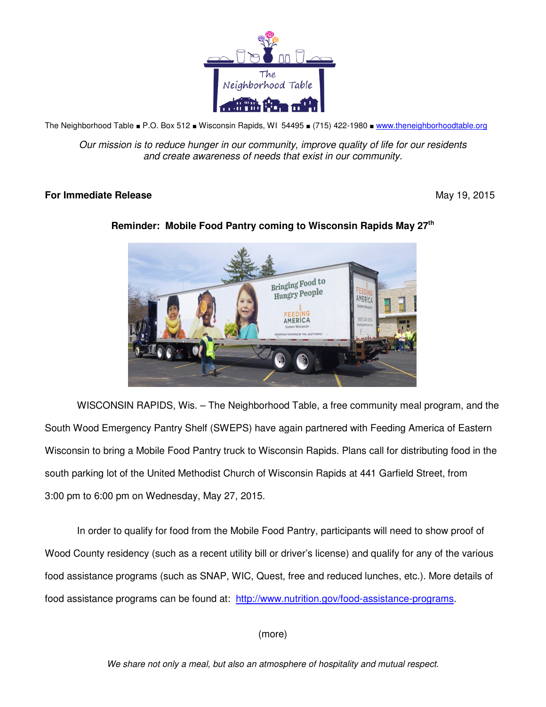

The Neighborhood Table ■ P.O. Box 512 ■ Wisconsin Rapids, WI 54495 ■ (715) 422-1980 ■ www.theneighborhoodtable.org

Our mission is to reduce hunger in our community, improve quality of life for our residents and create awareness of needs that exist in our community.

## **For Immediate Release**  May 19, 2015



## **Reminder: Mobile Food Pantry coming to Wisconsin Rapids May 27th**

WISCONSIN RAPIDS, Wis. – The Neighborhood Table, a free community meal program, and the South Wood Emergency Pantry Shelf (SWEPS) have again partnered with Feeding America of Eastern Wisconsin to bring a Mobile Food Pantry truck to Wisconsin Rapids. Plans call for distributing food in the south parking lot of the United Methodist Church of Wisconsin Rapids at 441 Garfield Street, from 3:00 pm to 6:00 pm on Wednesday, May 27, 2015.

In order to qualify for food from the Mobile Food Pantry, participants will need to show proof of Wood County residency (such as a recent utility bill or driver's license) and qualify for any of the various food assistance programs (such as SNAP, WIC, Quest, free and reduced lunches, etc.). More details of food assistance programs can be found at: http://www.nutrition.gov/food-assistance-programs.

(more)